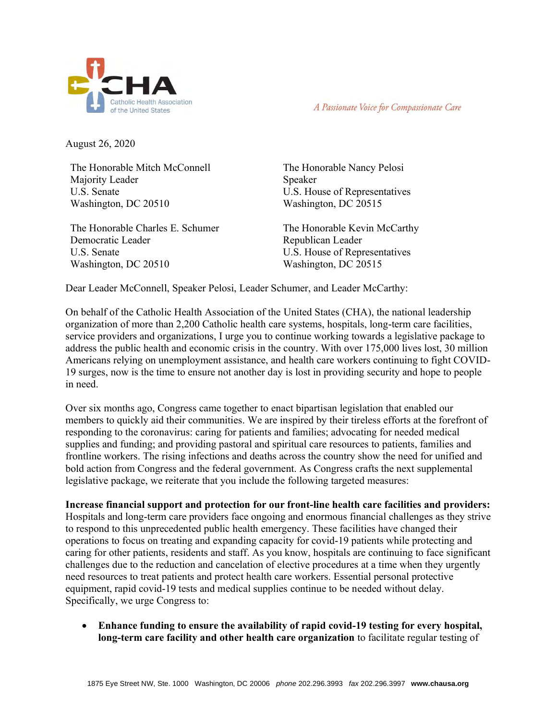

A Passionate Voice for Compassionate Care

August 26, 2020

The Honorable Mitch McConnell Majority Leader U.S. Senate Washington, DC 20510

The Honorable Charles E. Schumer Democratic Leader U.S. Senate Washington, DC 20510

The Honorable Nancy Pelosi Speaker U.S. House of Representatives Washington, DC 20515

The Honorable Kevin McCarthy Republican Leader U.S. House of Representatives Washington, DC 20515

Dear Leader McConnell, Speaker Pelosi, Leader Schumer, and Leader McCarthy:

On behalf of the Catholic Health Association of the United States (CHA), the national leadership organization of more than 2,200 Catholic health care systems, hospitals, long-term care facilities, service providers and organizations, I urge you to continue working towards a legislative package to address the public health and economic crisis in the country. With over 175,000 lives lost, 30 million Americans relying on unemployment assistance, and health care workers continuing to fight COVID-19 surges, now is the time to ensure not another day is lost in providing security and hope to people in need.

Over six months ago, Congress came together to enact bipartisan legislation that enabled our members to quickly aid their communities. We are inspired by their tireless efforts at the forefront of responding to the coronavirus: caring for patients and families; advocating for needed medical supplies and funding; and providing pastoral and spiritual care resources to patients, families and frontline workers. The rising infections and deaths across the country show the need for unified and bold action from Congress and the federal government. As Congress crafts the next supplemental legislative package, we reiterate that you include the following targeted measures:

**Increase financial support and protection for our front-line health care facilities and providers:** Hospitals and long-term care providers face ongoing and enormous financial challenges as they strive to respond to this unprecedented public health emergency. These facilities have changed their operations to focus on treating and expanding capacity for covid-19 patients while protecting and caring for other patients, residents and staff. As you know, hospitals are continuing to face significant challenges due to the reduction and cancelation of elective procedures at a time when they urgently need resources to treat patients and protect health care workers. Essential personal protective equipment, rapid covid-19 tests and medical supplies continue to be needed without delay. Specifically, we urge Congress to:

• **Enhance funding to ensure the availability of rapid covid-19 testing for every hospital, long-term care facility and other health care organization** to facilitate regular testing of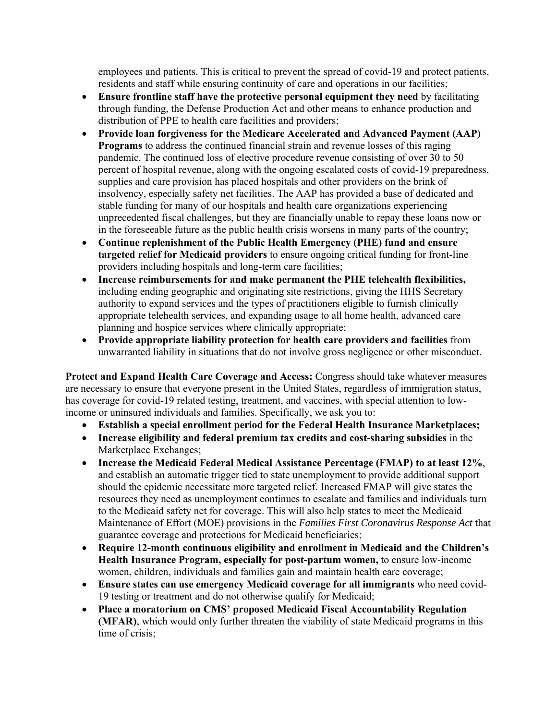employees and patients. This is critical to prevent the spread of covid-19 and protect patients, residents and staff while ensuring continuity of care and operations in our facilities;

- **Ensure frontline staff have the protective personal equipment they need** by facilitating through funding, the Defense Production Act and other means to enhance production and distribution of PPE to health care facilities and providers;
- **Provide loan forgiveness for the Medicare Accelerated and Advanced Payment (AAP) Programs** to address the continued financial strain and revenue losses of this raging pandemic. The continued loss of elective procedure revenue consisting of over 30 to 50 percent of hospital revenue, along with the ongoing escalated costs of covid-19 preparedness, supplies and care provision has placed hospitals and other providers on the brink of insolvency, especially safety net facilities. The AAP has provided a base of dedicated and stable funding for many of our hospitals and health care organizations experiencing unprecedented fiscal challenges, but they are financially unable to repay these loans now or in the foreseeable future as the public health crisis worsens in many parts of the country;
- **Continue replenishment of the Public Health Emergency (PHE) fund and ensure targeted relief for Medicaid providers** to ensure ongoing critical funding for front-line providers including hospitals and long-term care facilities;
- **Increase reimbursements for and make permanent the PHE telehealth flexibilities,**  including ending geographic and originating site restrictions, giving the HHS Secretary authority to expand services and the types of practitioners eligible to furnish clinically appropriate telehealth services, and expanding usage to all home health, advanced care planning and hospice services where clinically appropriate;
- **Provide appropriate liability protection for health care providers and facilities** from unwarranted liability in situations that do not involve gross negligence or other misconduct.

**Protect and Expand Health Care Coverage and Access:** Congress should take whatever measures are necessary to ensure that everyone present in the United States, regardless of immigration status, has coverage for covid-19 related testing, treatment, and vaccines, with special attention to lowincome or uninsured individuals and families. Specifically, we ask you to:

- **Establish a special enrollment period for the Federal Health Insurance Marketplaces;**
- **Increase eligibility and federal premium tax credits and cost-sharing subsidies** in the Marketplace Exchanges;
- **Increase the Medicaid Federal Medical Assistance Percentage (FMAP) to at least 12%**, and establish an automatic trigger tied to state unemployment to provide additional support should the epidemic necessitate more targeted relief. Increased FMAP will give states the resources they need as unemployment continues to escalate and families and individuals turn to the Medicaid safety net for coverage. This will also help states to meet the Medicaid Maintenance of Effort (MOE) provisions in the *Families First Coronavirus Response Act* that guarantee coverage and protections for Medicaid beneficiaries;
- **Require 12-month continuous eligibility and enrollment in Medicaid and the Children's Health Insurance Program, especially for post-partum women,** to ensure low-income women, children, individuals and families gain and maintain health care coverage;
- **Ensure states can use emergency Medicaid coverage for all immigrants** who need covid-19 testing or treatment and do not otherwise qualify for Medicaid;
- **Place a moratorium on CMS' proposed Medicaid Fiscal Accountability Regulation (MFAR)**, which would only further threaten the viability of state Medicaid programs in this time of crisis;